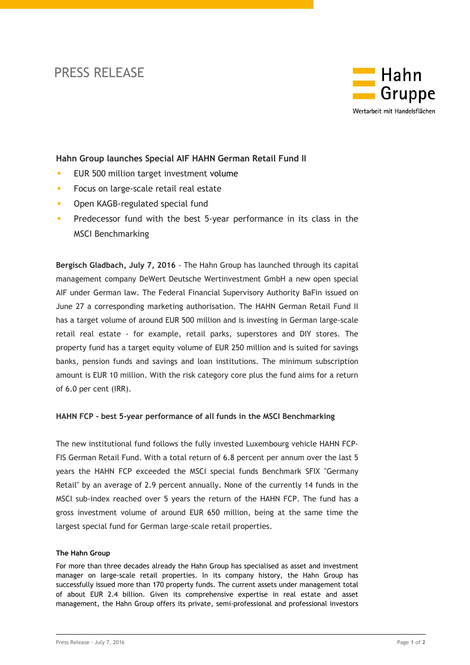## PRESS RELEASE



## **Hahn Group launches Special AIF HAHN German Retail Fund II**

- **EUR 500 million target investment volume**
- **Focus on large-scale retail real estate**
- **Open KAGB-regulated special fund**
- **Predecessor fund with the best 5-year performance in its class in the** MSCI Benchmarking

**Bergisch Gladbach, July 7, 2016** - The Hahn Group has launched through its capital management company DeWert Deutsche Wertinvestment GmbH a new open special AIF under German law. The Federal Financial Supervisory Authority BaFin issued on June 27 a corresponding marketing authorisation. The HAHN German Retail Fund II has a target volume of around EUR 500 million and is investing in German large-scale retail real estate - for example, retail parks, superstores and DIY stores. The property fund has a target equity volume of EUR 250 million and is suited for savings banks, pension funds and savings and loan institutions. The minimum subscription amount is EUR 10 million. With the risk category core plus the fund aims for a return of 6.0 per cent (IRR).

## **HAHN FCP - best 5-year performance of all funds in the MSCI Benchmarking**

The new institutional fund follows the fully invested Luxembourg vehicle HAHN FCP-FIS German Retail Fund. With a total return of 6.8 percent per annum over the last 5 years the HAHN FCP exceeded the MSCI special funds Benchmark SFIX "Germany Retail" by an average of 2.9 percent annually. None of the currently 14 funds in the MSCI sub-index reached over 5 years the return of the HAHN FCP. The fund has a gross investment volume of around EUR 650 million, being at the same time the largest special fund for German large-scale retail properties.

## **The Hahn Group**

For more than three decades already the Hahn Group has specialised as asset and investment manager on large-scale retail properties. In its company history, the Hahn Group has successfully issued more than 170 property funds. The current assets under management total of about EUR 2.4 billion. Given its comprehensive expertise in real estate and asset management, the Hahn Group offers its private, semi-professional and professional investors